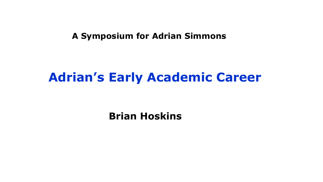### **A Symposium for Adrian Simmons**

# **Adrian's Early Academic Career**

**Brian Hoskins**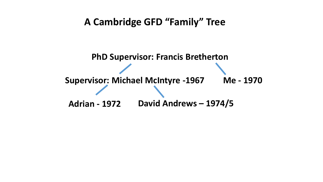## **A Cambridge GFD "Family" Tree**

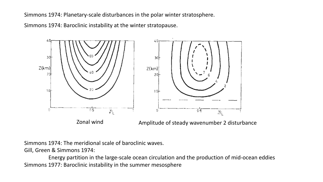Simmons 1974: Planetary-scale disturbances in the polar winter stratosphere.

Simmons 1974: Baroclinic instability at the winter stratopause.



Simmons 1974: The meridional scale of baroclinic waves.

Gill, Green & Simmons 1974:

Energy partition in the large-scale ocean circulation and the production of mid-ocean eddies Simmons 1977: Baroclinic instability in the summer mesosphere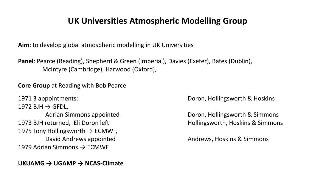## **UK Universities Atmospheric Modelling Group**

**Aim**: to develop global atmospheric modelling in UK Universities

**Panel**: Pearce (Reading), Shepherd & Green (Imperial), Davies (Exeter), Bates (Dublin), McIntyre (Cambridge), Harwood (Oxford),

**Core Group** at Reading with Bob Pearce

1971 3 appointments: Doron, Hollingsworth & Hoskins 1972 BJH  $\rightarrow$  GFDL, 1973 BJH returned, Eli Doron left **Hollingsworth, Hoskins & Simmons** 1975 Tony Hollingsworth  $\rightarrow$  ECMWF, 1979 Adrian Simmons  $\rightarrow$  ECMWF

**UKUAMG → UGAMP → NCAS-Climate**

Adrian Simmons appointed **Doron, Hollingsworth & Simmons** 

David Andrews appointed David Andrews, Hoskins & Simmons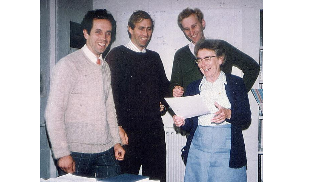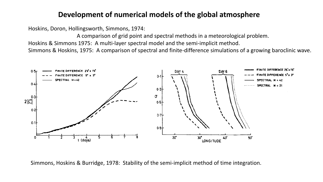#### **Development of numerical models of the global atmosphere**

Hoskins, Doron, Hollingsworth, Simmons, 1974:

A comparison of grid point and spectral methods in a meteorological problem. Hoskins & Simmons 1975: A multi-layer spectral model and the semi-implicit method. Simmons & Hoskins, 1975: A comparison of spectral and finite-difference simulations of a growing baroclinic wave.



Simmons, Hoskins & Burridge, 1978: Stability of the semi-implicit method of time integration.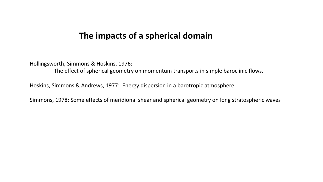### **The impacts of a spherical domain**

Hollingsworth, Simmons & Hoskins, 1976:

The effect of spherical geometry on momentum transports in simple baroclinic flows.

Hoskins, Simmons & Andrews, 1977: Energy dispersion in a barotropic atmosphere.

Simmons, 1978: Some effects of meridional shear and spherical geometry on long stratospheric waves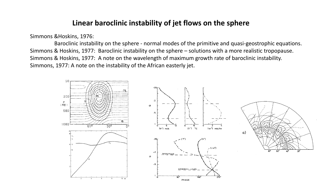#### **Linear baroclinic instability of jet flows on the sphere**

Simmons &Hoskins, 1976:

Baroclinic instability on the sphere - normal modes of the primitive and quasi-geostrophic equations. Simmons & Hoskins, 1977: Baroclinic instability on the sphere – solutions with a more realistic tropopause. Simmons & Hoskins, 1977: A note on the wavelength of maximum growth rate of baroclinic instability. Simmons, 1977: A note on the instability of the African easterly jet.

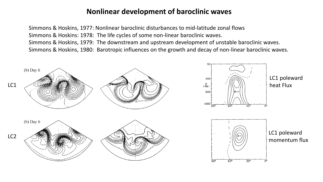#### **Nonlinear development of baroclinic waves**

Simmons & Hoskins, 1977: Nonlinear baroclinic disturbances to mid-latitude zonal flows Simmons & Hoskins: 1978: The life cycles of some non-linear baroclinic waves. Simmons & Hoskins, 1979: The downstream and upstream development of unstable baroclinic waves. Simmons & Hoskins, 1980: Barotropic influences on the growth and decay of non-linear baroclinic waves.

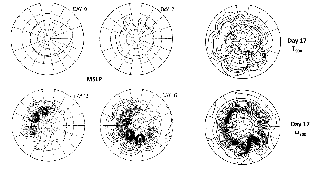













**Day 17**  $\Psi_{500}$